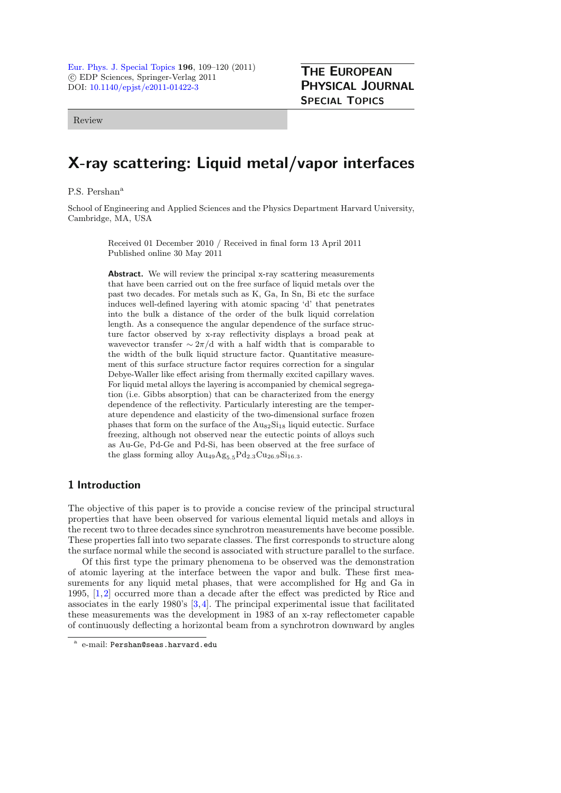[Eur. Phys. J. Special Topics](http://www.epj.org/) 196, 109–120 (2011) -c EDP Sciences, Springer-Verlag 2011 DOI: [10.1140/epjst/e2011-01422-3](http://dx.doi.org/10.1140/epjst/e2011-01422-3)

Review

# PHYSICAL JOURNAL SPECIAL TOPICS

THE EUROPEAN

# X-ray scattering: Liquid metal/vapor interfaces

P.S. Pershan<sup>a</sup>

School of Engineering and Applied Sciences and the Physics Department Harvard University, Cambridge, MA, USA

> Received 01 December 2010 / Received in final form 13 April 2011 Published online 30 May 2011

Abstract. We will review the principal x-ray scattering measurements that have been carried out on the free surface of liquid metals over the past two decades. For metals such as K, Ga, In Sn, Bi etc the surface induces well-defined layering with atomic spacing 'd' that penetrates into the bulk a distance of the order of the bulk liquid correlation length. As a consequence the angular dependence of the surface structure factor observed by x-ray reflectivity displays a broad peak at wavevector transfer  $\sim 2\pi/d$  with a half width that is comparable to the width of the bulk liquid structure factor. Quantitative measurement of this surface structure factor requires correction for a singular Debye-Waller like effect arising from thermally excited capillary waves. For liquid metal alloys the layering is accompanied by chemical segregation (i.e. Gibbs absorption) that can be characterized from the energy dependence of the reflectivity. Particularly interesting are the temperature dependence and elasticity of the two-dimensional surface frozen phases that form on the surface of the  $\text{Au}_{82}\text{Si}_{18}$  liquid eutectic. Surface freezing, although not observed near the eutectic points of alloys such as Au-Ge, Pd-Ge and Pd-Si, has been observed at the free surface of the glass forming alloy  $Au_{49}Ag_{5.5}Pd_{2.3}Cu_{26.9}Si_{16.3}.$ 

# 1 Introduction

The objective of this paper is to provide a concise review of the principal structural properties that have been observed for various elemental liquid metals and alloys in the recent two to three decades since synchrotron measurements have become possible. These properties fall into two separate classes. The first corresponds to structure along the surface normal while the second is associated with structure parallel to the surface.

Of this first type the primary phenomena to be observed was the demonstration of atomic layering at the interface between the vapor and bulk. These first measurements for any liquid metal phases, that were accomplished for Hg and Ga in 1995, [\[1](#page-9-0)[,2](#page-9-1)] occurred more than a decade after the effect was predicted by Rice and associates in the early 1980's [\[3](#page-9-2),[4\]](#page-9-3). The principal experimental issue that facilitated these measurements was the development in 1983 of an x-ray reflectometer capable of continuously deflecting a horizontal beam from a synchrotron downward by angles

<sup>a</sup> e-mail: Pershan@seas.harvard.edu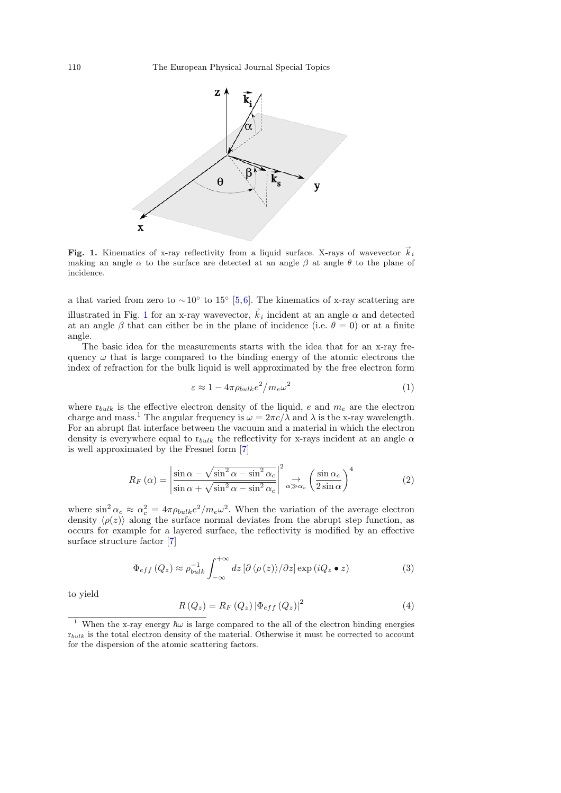<span id="page-1-0"></span>

**Fig. 1.** Kinematics of x-ray reflectivity from a liquid surface. X-rays of wavevector  $\vec{k}_i$  making an angle  $\alpha$  to the surface are detected at an angle  $\beta$  at angle  $\theta$  to the plane of making an angle  $\alpha$  to the surface are detected at an angle  $\beta$  at angle  $\theta$  to the plane of incidence.

a that varied from zero to  $\sim 10^{\circ}$  to 15° [\[5](#page-9-4)[,6](#page-9-5)]. The kinematics of x-ray scattering are illustrated in Fig. [1](#page-1-0) for an x-ray wavevector,  $\vec{k}_i$  incident at an angle  $\alpha$  and detected at an angle  $\beta$  that can either be in the plane of incidence (i.e.  $\theta = 0$ ) or at a finite angle.

The basic idea for the measurements starts with the idea that for an x-ray frequency  $\omega$  that is large compared to the binding energy of the atomic electrons the index of refraction for the bulk liquid is well approximated by the free electron form

$$
\varepsilon \approx 1 - 4\pi \rho_{bulk} e^2 / m_e \omega^2 \tag{1}
$$

where  $r_{bulk}$  is the effective electron density of the liquid, e and  $m_e$  are the electron charge and mass.<sup>1</sup> The angular frequency is  $\omega = 2\pi c/\lambda$  and  $\lambda$  is the x-ray wavelength. For an abrupt flat interface between the vacuum and a material in which the electron density is everywhere equal to  $r_{bulk}$  the reflectivity for x-rays incident at an angle  $\alpha$ is well approximated by the Fresnel form [\[7\]](#page-9-6)

$$
R_F(\alpha) = \left| \frac{\sin \alpha - \sqrt{\sin^2 \alpha - \sin^2 \alpha_c}}{\sin \alpha + \sqrt{\sin^2 \alpha - \sin^2 \alpha_c}} \right|^2 \underset{\alpha \gg \alpha_c}{\rightarrow} \left( \frac{\sin \alpha_c}{2 \sin \alpha} \right)^4 \tag{2}
$$

<span id="page-1-2"></span>where  $\sin^2 \alpha_c \approx \alpha_c^2 = 4\pi \rho_{bulk} e^2 / m_e \omega^2$ . When the variation of the average electron density  $\langle \rho(z) \rangle$  along the surface normal deviates from the abrupt step function, as occurs for example for a layered surface, the reflectivity is modified by an effective surface structure factor [\[7\]](#page-9-6)

$$
\Phi_{eff}(Q_z) \approx \rho_{bulk}^{-1} \int_{-\infty}^{+\infty} dz \left[\partial \langle \rho(z) \rangle / \partial z\right] \exp(iQ_z \bullet z)
$$
\n(3)

<span id="page-1-3"></span><span id="page-1-1"></span>to yield

$$
R\left(Q_z\right) = R_F\left(Q_z\right) \left|\Phi_{eff}\left(Q_z\right)\right|^2\tag{4}
$$

<sup>&</sup>lt;sup>1</sup> When the x-ray energy  $\hbar\omega$  is large compared to the all of the electron binding energies  $r_{bulk}$  is the total electron density of the material. Otherwise it must be corrected to account for the dispersion of the atomic scattering factors.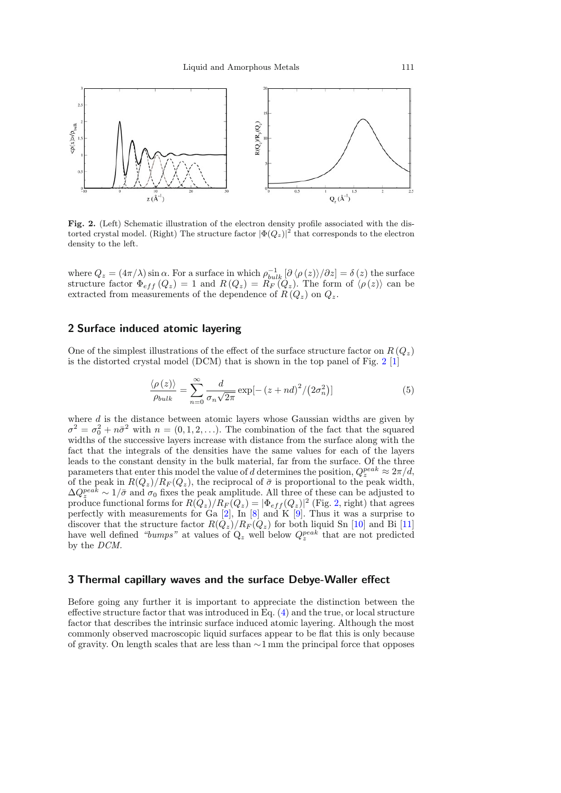<span id="page-2-0"></span>

Fig. 2. (Left) Schematic illustration of the electron density profile associated with the distorted crystal model. (Right) The structure factor  $|\Phi(Q_z)|^2$  that corresponds to the electron density to the left.

where  $Q_z = (4\pi/\lambda) \sin \alpha$ . For a surface in which  $\rho_{bulk}^{-1} [\partial \langle \rho(z) \rangle / \partial z] = \delta(z)$  the surface structure factor  $\Phi_{eff}(Q_z) = 1$  and  $R(Q_z) = R_F(Q_z)$ . The form of  $\langle \rho(z) \rangle$  can be extracted from measurements of the dependence of  $R(Q_z)$  on  $Q_z$ .

# 2 Surface induced atomic layering

One of the simplest illustrations of the effect of the surface structure factor on  $R(Q_z)$ is the distorted crystal model (DCM) that is shown in the top panel of Fig.  $2 \lfloor 1 \rfloor$  $2 \lfloor 1 \rfloor$ 

$$
\frac{\langle \rho(z) \rangle}{\rho_{bulk}} = \sum_{n=0}^{\infty} \frac{d}{\sigma_n \sqrt{2\pi}} \exp[-(z + nd)^2 / (2\sigma_n^2)] \tag{5}
$$

where  $d$  is the distance between atomic layers whose Gaussian widths are given by  $\sigma^2 = \sigma_0^2 + n\bar{\sigma}^2$  with  $n = (0, 1, 2, \ldots)$ . The combination of the fact that the squared widths of the successive layers increase with distance from the surface along with the fact that the integrals of the densities have the same values for each of the layers leads to the constant density in the bulk material, far from the surface. Of the three parameters that enter this model the value of d determines the position,  $Q_z^{peak} \approx 2\pi/d$ , of the peak in  $R(Q_z)/R_F(Q_z)$ , the reciprocal of  $\bar{\sigma}$  is proportional to the peak width,  $\Delta Q_{z}^{peak} \sim 1/\bar{\sigma}$  and  $\sigma_0$  fixes the peak amplitude. All three of these can be adjusted to produce functional forms for  $R(Q_z)/R_F(Q_z) = |\Phi_{eff}(Q_z)|^2$  (Fig. [2,](#page-2-0) right) that agrees perfectly with measurements for Ga  $[2]$  $[2]$ , In  $[8]$  and K  $[9]$ . Thus it was a surprise to discover that the structure factor  $R(Q_z)/R_F(Q_z)$  for both liquid Sn [\[10](#page-10-2)] and Bi [\[11\]](#page-10-3) have well defined "bumps" at values of  $Q_z$  well below  $Q_z^{peak}$  that are not predicted by the DCM.

#### 3 Thermal capillary waves and the surface Debye-Waller effect

Before going any further it is important to appreciate the distinction between the effective structure factor that was introduced in Eq. [\(4\)](#page-1-1) and the true, or local structure factor that describes the intrinsic surface induced atomic layering. Although the most commonly observed macroscopic liquid surfaces appear to be flat this is only because of gravity. On length scales that are less than ∼1 mm the principal force that opposes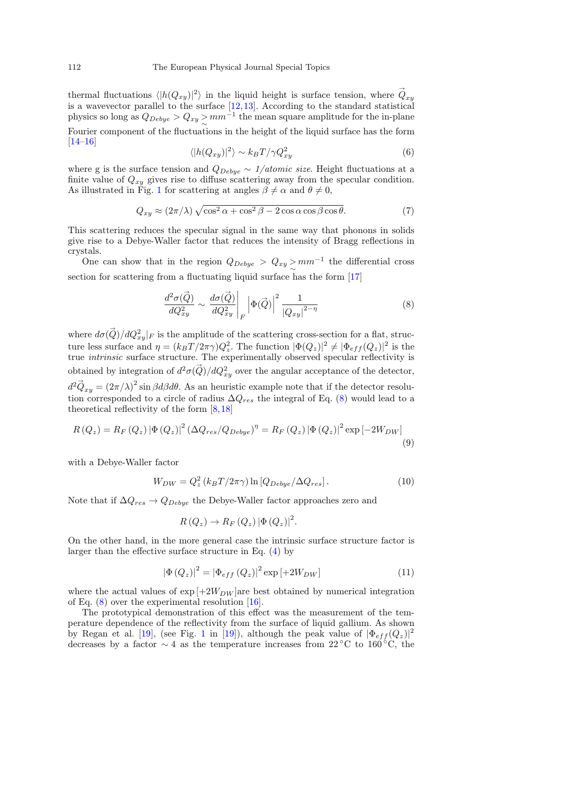thermal fluctuations  $\langle |h(Q_{xy})|^2 \rangle$  in the liquid height is surface tension, where  $\vec{Q}_{xy}$ is a wavevector parallel to the surface [\[12,](#page-10-4)[13\]](#page-10-5). According to the standard statistical physics so long as  $Q_{Debye} > Q_{xy} > mm^{-1}$  the mean square amplitude for the in-plane Fourier component of the fluctuations in the height of the liquid surface has the form [\[14](#page-10-6)[–16\]](#page-10-7)

$$
\langle |h(Q_{xy})|^2 \rangle \sim k_B T / \gamma Q_{xy}^2 \tag{6}
$$

where g is the surface tension and  $Q_{Debye} \sim 1/atomic\ size$ . Height fluctuations at a finite value of  $Q_{xy}$  gives rise to diffuse scattering away from the specular condition. As illustrated in Fig. [1](#page-1-0) for scattering at angles  $\beta \neq \alpha$  and  $\theta \neq 0$ ,

$$
Q_{xy} \approx (2\pi/\lambda)\sqrt{\cos^2\alpha + \cos^2\beta - 2\cos\alpha\cos\beta\cos\theta}.
$$
 (7)

This scattering reduces the specular signal in the same way that phonons in solids give rise to a Debye-Waller factor that reduces the intensity of Bragg reflections in crystals.

One can show that in the region  $Q_{Debye} > Q_{xy} > mm^{-1}$  the differential cross section for scattering from a fluctuating liquid surface has the form [\[17](#page-10-8)]

$$
\frac{d^2\sigma(\vec{Q})}{dQ_{xy}^2} \sim \left. \frac{d\sigma(\vec{Q})}{dQ_{xy}^2} \right|_F \left| \Phi(\vec{Q}) \right|^2 \frac{1}{\left| Q_{xy} \right|^{2-\eta}} \tag{8}
$$

<span id="page-3-0"></span>where  $d\sigma(\vec{Q})/dQ_{xy}^2|_F$  is the amplitude of the scattering cross-section for a flat, structure less surface and  $\eta = (k_B T / 2\pi \gamma) Q_z^2$ . The function  $|\Phi(Q_z)|^2 \neq |\Phi_{eff}(Q_z)|^2$  is the true intrinsic surface structure. The experimentally observed specular reflectivity is obtained by integration of  $d^2\sigma(\vec{Q})/dQ_{xy}^2$  over the angular acceptance of the detector,  $d^2 \vec{Q}_{xy} = (2\pi/\lambda)^2 \sin \beta d\beta d\theta$ . As an heuristic example note that if the detector resolution corresponded to a circle of radius  $\Delta Q_{res}$  the integral of Eq. [\(8\)](#page-3-0) would lead to a theoretical reflectivity of the form [\[8](#page-10-0)[,18](#page-10-9)]

$$
R(Q_z) = R_F(Q_z) |\Phi(Q_z)|^2 (\Delta Q_{res}/Q_{Debye})^{\eta} = R_F(Q_z) |\Phi(Q_z)|^2 \exp[-2W_{DW}]
$$
\n(9)

with a Debye-Waller factor

$$
W_{DW} = Q_z^2 \left( k_B T / 2\pi \gamma \right) \ln \left[ Q_{Debye} / \Delta Q_{res} \right]. \tag{10}
$$

Note that if  $\Delta Q_{res} \rightarrow Q_{Debye}$  the Debye-Waller factor approaches zero and

$$
R(Q_z) \to R_F(Q_z) |\Phi(Q_z)|^2.
$$

On the other hand, in the more general case the intrinsic surface structure factor is larger than the effective surface structure in Eq. [\(4\)](#page-1-1) by

$$
|\Phi(Q_z)|^2 = |\Phi_{eff}(Q_z)|^2 \exp[+2W_{DW}]
$$
\n(11)

where the actual values of  $\exp[+2W_{DW}]$ are best obtained by numerical integration of Eq.  $(8)$  over the experimental resolution  $[16]$  $[16]$ .

The prototypical demonstration of this effect was the measurement of the temperature dependence of the reflectivity from the surface of liquid gallium. As shown by Regan et al. [\[19\]](#page-10-10), (see Fig. [1](#page-1-0) in [\[19](#page-10-10)]), although the peak value of  $|\Phi_{eff}(Q_z)|^2$ decreases by a factor  $\sim 4$  as the temperature increases from 22 °C to 160 °C, the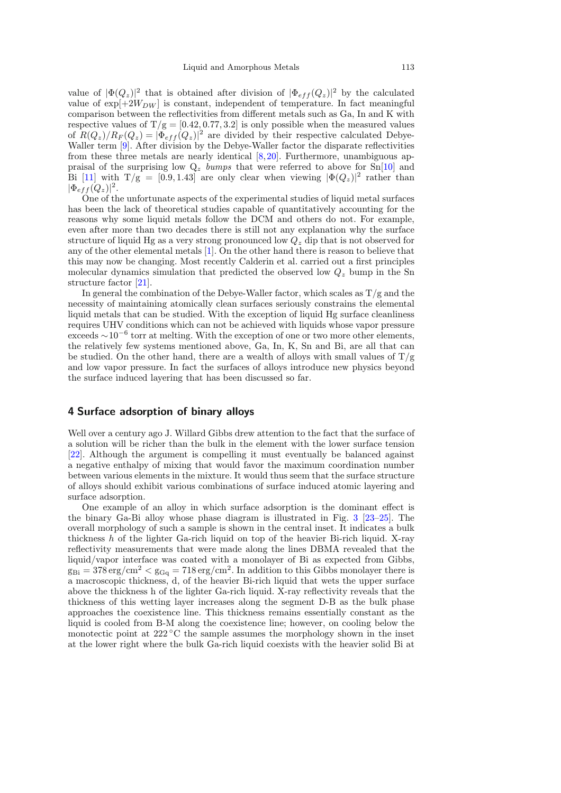value of  $|\Phi(Q_z)|^2$  that is obtained after division of  $|\Phi_{eff}(Q_z)|^2$  by the calculated value of  $\exp[+2W_{DW}]$  is constant, independent of temperature. In fact meaningful comparison between the reflectivities from different metals such as Ga, In and K with respective values of  $T/g = [0.42, 0.77, 3.2]$  is only possible when the measured values of  $R(Q_z)/R_F(Q_z) = |\Phi_{eff}(Q_z)|^2$  are divided by their respective calculated Debye-Waller term [\[9\]](#page-10-1). After division by the Debye-Waller factor the disparate reflectivities from these three metals are nearly identical  $[8,20]$  $[8,20]$ . Furthermore, unambiguous appraisal of the surprising low  $Q_z$  bumps that were referred to above for  $Sn[10]$  $Sn[10]$  and Bi [\[11\]](#page-10-3) with  $T/g = [0.9, 1.43]$  are only clear when viewing  $|\Phi(Q_z)|^2$  rather than  $|\Phi_{eff}(Q_z)|^2$ .

One of the unfortunate aspects of the experimental studies of liquid metal surfaces has been the lack of theoretical studies capable of quantitatively accounting for the reasons why some liquid metals follow the DCM and others do not. For example, even after more than two decades there is still not any explanation why the surface structure of liquid Hg as a very strong pronounced low  $Q<sub>z</sub>$  dip that is not observed for any of the other elemental metals [\[1](#page-9-0)]. On the other hand there is reason to believe that this may now be changing. Most recently Calderin et al. carried out a first principles molecular dynamics simulation that predicted the observed low  $Q_z$  bump in the Sn structure factor [\[21\]](#page-10-12).

In general the combination of the Debye-Waller factor, which scales as  $T/g$  and the necessity of maintaining atomically clean surfaces seriously constrains the elemental liquid metals that can be studied. With the exception of liquid Hg surface cleanliness requires UHV conditions which can not be achieved with liquids whose vapor pressure exceeds  $\sim 10^{-6}$  torr at melting. With the exception of one or two more other elements, the relatively few systems mentioned above, Ga, In, K, Sn and Bi, are all that can be studied. On the other hand, there are a wealth of allows with small values of  $T/g$ and low vapor pressure. In fact the surfaces of alloys introduce new physics beyond the surface induced layering that has been discussed so far.

#### 4 Surface adsorption of binary alloys

Well over a century ago J. Willard Gibbs drew attention to the fact that the surface of a solution will be richer than the bulk in the element with the lower surface tension [\[22\]](#page-10-13). Although the argument is compelling it must eventually be balanced against a negative enthalpy of mixing that would favor the maximum coordination number between various elements in the mixture. It would thus seem that the surface structure of alloys should exhibit various combinations of surface induced atomic layering and surface adsorption.

One example of an alloy in which surface adsorption is the dominant effect is the binary Ga-Bi alloy whose phase diagram is illustrated in Fig. [3](#page-5-0) [\[23](#page-10-14)[–25](#page-10-15)]. The overall morphology of such a sample is shown in the central inset. It indicates a bulk thickness h of the lighter Ga-rich liquid on top of the heavier Bi-rich liquid. X-ray reflectivity measurements that were made along the lines DBMA revealed that the liquid/vapor interface was coated with a monolayer of Bi as expected from Gibbs,  $g_{\text{Bi}} = 378 \text{ erg/cm}^2 < g_{\text{Gq}} = 718 \text{ erg/cm}^2$ . In addition to this Gibbs monolayer there is a macroscopic thickness, d, of the heavier Bi-rich liquid that wets the upper surface above the thickness h of the lighter Ga-rich liquid. X-ray reflectivity reveals that the thickness of this wetting layer increases along the segment D-B as the bulk phase approaches the coexistence line. This thickness remains essentially constant as the liquid is cooled from B-M along the coexistence line; however, on cooling below the monotectic point at  $222^{\circ}$ C the sample assumes the morphology shown in the inset at the lower right where the bulk Ga-rich liquid coexists with the heavier solid Bi at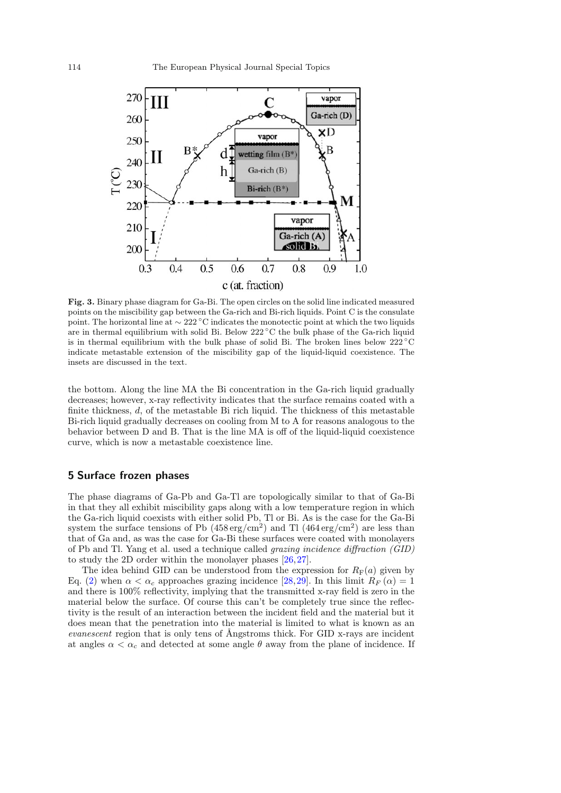<span id="page-5-0"></span>

Fig. 3. Binary phase diagram for Ga-Bi. The open circles on the solid line indicated measured points on the miscibility gap between the Ga-rich and Bi-rich liquids. Point C is the consulate point. The horizontal line at ∼ 222 ◦C indicates the monotectic point at which the two liquids are in thermal equilibrium with solid Bi. Below 222 ◦C the bulk phase of the Ga-rich liquid is in thermal equilibrium with the bulk phase of solid Bi. The broken lines below  $222\textdegree C$ indicate metastable extension of the miscibility gap of the liquid-liquid coexistence. The insets are discussed in the text.

the bottom. Along the line MA the Bi concentration in the Ga-rich liquid gradually decreases; however, x-ray reflectivity indicates that the surface remains coated with a finite thickness, d, of the metastable Bi rich liquid. The thickness of this metastable Bi-rich liquid gradually decreases on cooling from M to A for reasons analogous to the behavior between D and B. That is the line MA is off of the liquid-liquid coexistence curve, which is now a metastable coexistence line.

#### 5 Surface frozen phases

The phase diagrams of Ga-Pb and Ga-Tl are topologically similar to that of Ga-Bi in that they all exhibit miscibility gaps along with a low temperature region in which the Ga-rich liquid coexists with either solid Pb, Tl or Bi. As is the case for the Ga-Bi system the surface tensions of Pb  $(458 \text{ erg/cm}^2)$  and Tl  $(464 \text{ erg/cm}^2)$  are less than that of Ga and, as was the case for Ga-Bi these surfaces were coated with monolayers of Pb and Tl. Yang et al. used a technique called grazing incidence diffraction (GID) to study the 2D order within the monolayer phases [\[26](#page-10-16),[27\]](#page-10-17).

The idea behind GID can be understood from the expression for  $R_F(a)$  given by Eq. [\(2\)](#page-1-2) when  $\alpha < \alpha_c$  approaches grazing incidence [\[28,](#page-10-18) [29\]](#page-10-19). In this limit  $R_F(\alpha) = 1$ and there is 100% reflectivity, implying that the transmitted x-ray field is zero in the material below the surface. Of course this can't be completely true since the reflectivity is the result of an interaction between the incident field and the material but it does mean that the penetration into the material is limited to what is known as an evanescent region that is only tens of Ångstroms thick. For GID x-rays are incident at angles  $\alpha < \alpha_c$  and detected at some angle  $\theta$  away from the plane of incidence. If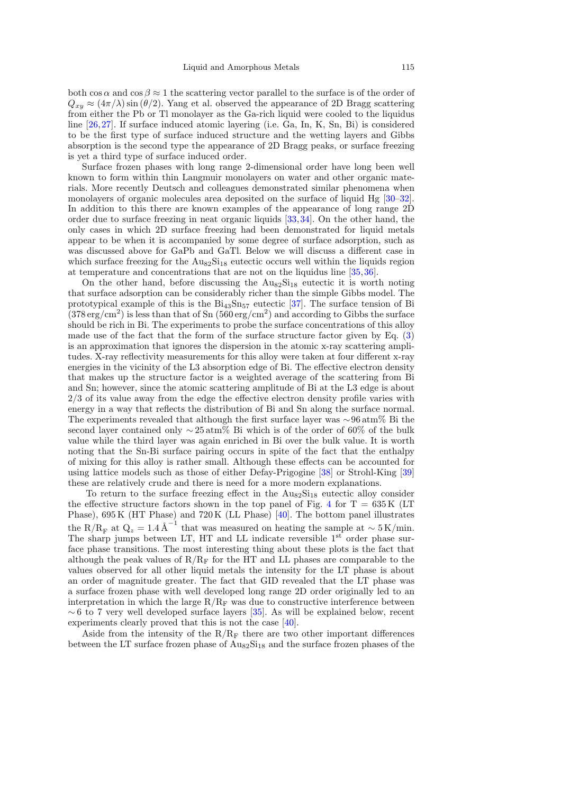both cos  $\alpha$  and cos  $\beta \approx 1$  the scattering vector parallel to the surface is of the order of  $Q_{xy} \approx (4\pi/\lambda) \sin(\theta/2)$ . Yang et al. observed the appearance of 2D Bragg scattering from either the Pb or Tl monolayer as the Ga-rich liquid were cooled to the liquidus line [\[26,](#page-10-16)[27\]](#page-10-17). If surface induced atomic layering (i.e. Ga, In, K, Sn, Bi) is considered to be the first type of surface induced structure and the wetting layers and Gibbs absorption is the second type the appearance of 2D Bragg peaks, or surface freezing is yet a third type of surface induced order.

Surface frozen phases with long range 2-dimensional order have long been well known to form within thin Langmuir monolayers on water and other organic materials. More recently Deutsch and colleagues demonstrated similar phenomena when monolayers of organic molecules area deposited on the surface of liquid Hg [\[30](#page-10-20)[–32](#page-10-21)]. In addition to this there are known examples of the appearance of long range 2D order due to surface freezing in neat organic liquids [\[33](#page-10-22)[,34](#page-10-23)]. On the other hand, the only cases in which 2D surface freezing had been demonstrated for liquid metals appear to be when it is accompanied by some degree of surface adsorption, such as was discussed above for GaPb and GaTl. Below we will discuss a different case in which surface freezing for the  $Au_{82}Si_{18}$  eutectic occurs well within the liquids region at temperature and concentrations that are not on the liquidus line [\[35](#page-10-24)[,36](#page-10-25)].

On the other hand, before discussing the  $\text{Au}_{82}\text{Si}_{18}$  eutectic it is worth noting that surface adsorption can be considerably richer than the simple Gibbs model. The prototypical example of this is the  $Bi_{43}Sn_{57}$  eutectic [\[37](#page-10-26)]. The surface tension of Bi  $(378 \text{ erg/cm}^2)$  is less than that of Sn  $(560 \text{ erg/cm}^2)$  and according to Gibbs the surface should be rich in Bi. The experiments to probe the surface concentrations of this alloy made use of the fact that the form of the surface structure factor given by Eq. [\(3\)](#page-1-3) is an approximation that ignores the dispersion in the atomic x-ray scattering amplitudes. X-ray reflectivity measurements for this alloy were taken at four different x-ray energies in the vicinity of the L3 absorption edge of Bi. The effective electron density that makes up the structure factor is a weighted average of the scattering from Bi and Sn; however, since the atomic scattering amplitude of Bi at the L3 edge is about 2/3 of its value away from the edge the effective electron density profile varies with energy in a way that reflects the distribution of Bi and Sn along the surface normal. The experiments revealed that although the first surface layer was ∼96 atm% Bi the second layer contained only  $\sim$  25 atm% Bi which is of the order of 60% of the bulk value while the third layer was again enriched in Bi over the bulk value. It is worth noting that the Sn-Bi surface pairing occurs in spite of the fact that the enthalpy of mixing for this alloy is rather small. Although these effects can be accounted for using lattice models such as those of either Defay-Prigogine [\[38\]](#page-10-27) or Strohl-King [\[39\]](#page-10-28) these are relatively crude and there is need for a more modern explanations.

To return to the surface freezing effect in the  $\text{Au}_{82}\text{Si}_{18}$  eutectic alloy consider the effective structure factors shown in the top panel of Fig. [4](#page-7-0) for  $T = 635$  K (LT Phase), 695 K (HT Phase) and 720 K (LL Phase) [\[40\]](#page-10-29). The bottom panel illustrates the R/R<sub>F</sub> at  $Q_z = 1.4 \text{ Å}^{-1}$  that was measured on heating the sample at ~ 5 K/min. The sharp jumps between LT, HT and LL indicate reversible 1<sup>st</sup> order phase surface phase transitions. The most interesting thing about these plots is the fact that although the peak values of  $R/R_F$  for the HT and LL phases are comparable to the values observed for all other liquid metals the intensity for the LT phase is about an order of magnitude greater. The fact that GID revealed that the LT phase was a surface frozen phase with well developed long range 2D order originally led to an interpretation in which the large  $R/R_F$  was due to constructive interference between  $\sim$  6 to 7 very well developed surface layers [\[35](#page-10-24)]. As will be explained below, recent experiments clearly proved that this is not the case [\[40\]](#page-10-29).

Aside from the intensity of the  $R/R_F$  there are two other important differences between the LT surface frozen phase of  $\text{Au}_{82}\text{Si}_{18}$  and the surface frozen phases of the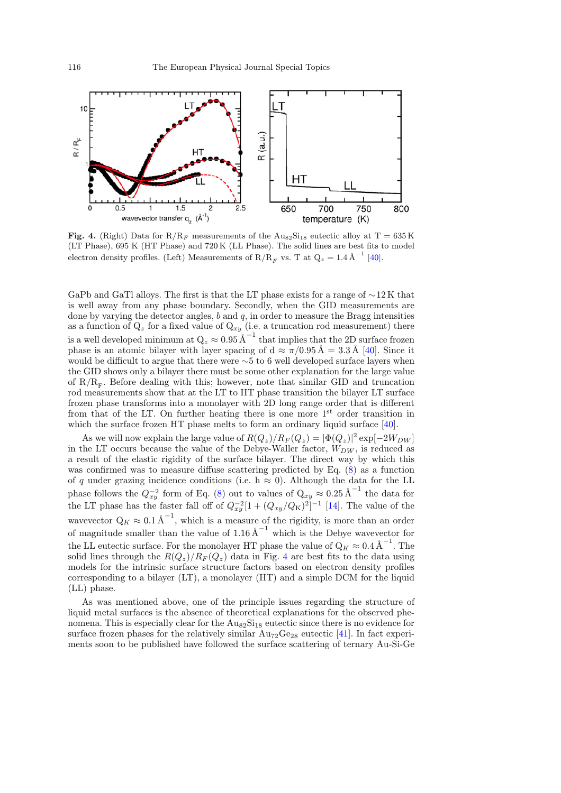<span id="page-7-0"></span>

Fig. 4. (Right) Data for  $R/R_F$  measurements of the  $Au_{82}Si_{18}$  eutectic alloy at T = 635 K (LT Phase), 695 K (HT Phase) and 720 K (LL Phase). The solid lines are best fits to model electron density profiles. (Left) Measurements of R/R<sub>F</sub> vs. T at  $Q_z = 1.4 \text{ Å}^{-1}$  [\[40\]](#page-10-29).

GaPb and GaTl alloys. The first is that the LT phase exists for a range of ∼12 K that is well away from any phase boundary. Secondly, when the GID measurements are done by varying the detector angles,  $b$  and  $q$ , in order to measure the Bragg intensities as a function of  $Q_z$  for a fixed value of  $Q_{xy}$  (i.e. a truncation rod measurement) there is a well developed minimum at  $Q_z \approx 0.95$   $\text{\AA}^{-1}$  that implies that the 2D surface frozen phase is an atomic bilayer with layer spacing of  $d \approx \pi/0.95 \text{ Å} = 3.3 \text{ Å}$  [\[40](#page-10-29)]. Since it would be difficult to argue that there were ∼5 to 6 well developed surface layers when the GID shows only a bilayer there must be some other explanation for the large value of  $R/R<sub>F</sub>$ . Before dealing with this; however, note that similar GID and truncation rod measurements show that at the LT to HT phase transition the bilayer LT surface frozen phase transforms into a monolayer with 2D long range order that is different from that of the LT. On further heating there is one more  $1<sup>st</sup>$  order transition in which the surface frozen HT phase melts to form an ordinary liquid surface [\[40](#page-10-29)].

As we will now explain the large value of  $R(Q_z)/R_F(Q_z) = |\Phi(Q_z)|^2 \exp[-2W_{DW}]$ in the LT occurs because the value of the Debye-Waller factor,  $W_{DW}$ , is reduced as a result of the elastic rigidity of the surface bilayer. The direct way by which this was confirmed was to measure diffuse scattering predicted by Eq. [\(8\)](#page-3-0) as a function of q under grazing incidence conditions (i.e. h  $\approx 0$ ). Although the data for the LL phase follows the  $Q_{xy}^{-2}$  form of Eq. [\(8\)](#page-3-0) out to values of  $Q_{xy} \approx 0.25 \text{ Å}^{-1}$  the data for the LT phase has the faster fall off of  $Q_{xy}^{-2}[1+(Q_{xy}/Q_{\rm K})^2]^{-1}$  [\[14\]](#page-10-6). The value of the wavevector  $Q_K \approx 0.1 \text{ Å}^{-1}$ , which is a measure of the rigidity, is more than an order of magnitude smaller than the value of 1.16  $\AA^{-1}$  which is the Debye wavevector for the LL eutectic surface. For the monolayer HT phase the value of  $Q_K \approx 0.4 \text{ \AA}^{-1}$ . The solid lines through the  $R(Q_z)/R_F(Q_z)$  data in Fig. [4](#page-7-0) are best fits to the data using models for the intrinsic surface structure factors based on electron density profiles corresponding to a bilayer (LT), a monolayer (HT) and a simple DCM for the liquid (LL) phase.

As was mentioned above, one of the principle issues regarding the structure of liquid metal surfaces is the absence of theoretical explanations for the observed phenomena. This is especially clear for the  $\text{Aug}_2\text{Si}_{18}$  eutectic since there is no evidence for surface frozen phases for the relatively similar  $Au_{72}Ge_{28}$  eutectic [\[41](#page-10-30)]. In fact experiments soon to be published have followed the surface scattering of ternary Au-Si-Ge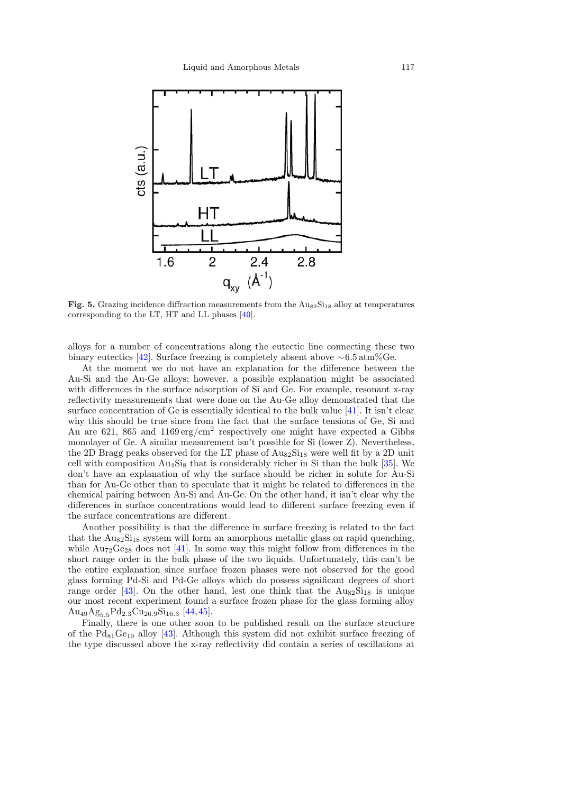

Fig. 5. Grazing incidence diffraction measurements from the  $\text{Au}_{82}\text{Si}_{18}$  alloy at temperatures corresponding to the LT, HT and LL phases [\[40\]](#page-10-29).

alloys for a number of concentrations along the eutectic line connecting these two binary eutectics [\[42](#page-11-0)]. Surface freezing is completely absent above  $\sim 6.5 \text{ atm}\%$ Ge.

At the moment we do not have an explanation for the difference between the Au-Si and the Au-Ge alloys; however, a possible explanation might be associated with differences in the surface adsorption of Si and Ge. For example, resonant x-ray reflectivity measurements that were done on the Au-Ge alloy demonstrated that the surface concentration of Ge is essentially identical to the bulk value [\[41](#page-10-30)]. It isn't clear why this should be true since from the fact that the surface tensions of Ge, Si and Au are 621, 865 and 1169 erg/cm<sup>2</sup> respectively one might have expected a Gibbs monolayer of Ge. A similar measurement isn't possible for Si (lower Z). Nevertheless, the 2D Bragg peaks observed for the LT phase of  $\text{Au}_{82}\text{Si}_{18}$  were well fit by a 2D unit cell with composition  $Au_4Si_8$  that is considerably richer in Si than the bulk [\[35\]](#page-10-24). We don't have an explanation of why the surface should be richer in solute for Au-Si than for Au-Ge other than to speculate that it might be related to differences in the chemical pairing between Au-Si and Au-Ge. On the other hand, it isn't clear why the differences in surface concentrations would lead to different surface freezing even if the surface concentrations are different.

Another possibility is that the difference in surface freezing is related to the fact that the  $\text{AugS1}_{18}$  system will form an amorphous metallic glass on rapid quenching, while  $\text{Au}_{72}\text{Ge}_{28}$  does not [\[41](#page-10-30)]. In some way this might follow from differences in the short range order in the bulk phase of the two liquids. Unfortunately, this can't be the entire explanation since surface frozen phases were not observed for the good glass forming Pd-Si and Pd-Ge alloys which do possess significant degrees of short range order [\[43](#page-11-1)]. On the other hand, lest one think that the  $\text{Au}_{82}\text{Si}_{18}$  is unique our most recent experiment found a surface frozen phase for the glass forming alloy  $\text{Au}_{49}\text{Ag}_{5.5}\text{Pd}_{2.3}\text{Cu}_{26.9}\text{Si}_{16.3}$  [\[44,](#page-11-2)[45](#page-11-3)].

Finally, there is one other soon to be published result on the surface structure of the  $Pd_{81}Ge_{19}$  alloy [\[43\]](#page-11-1). Although this system did not exhibit surface freezing of the type discussed above the x-ray reflectivity did contain a series of oscillations at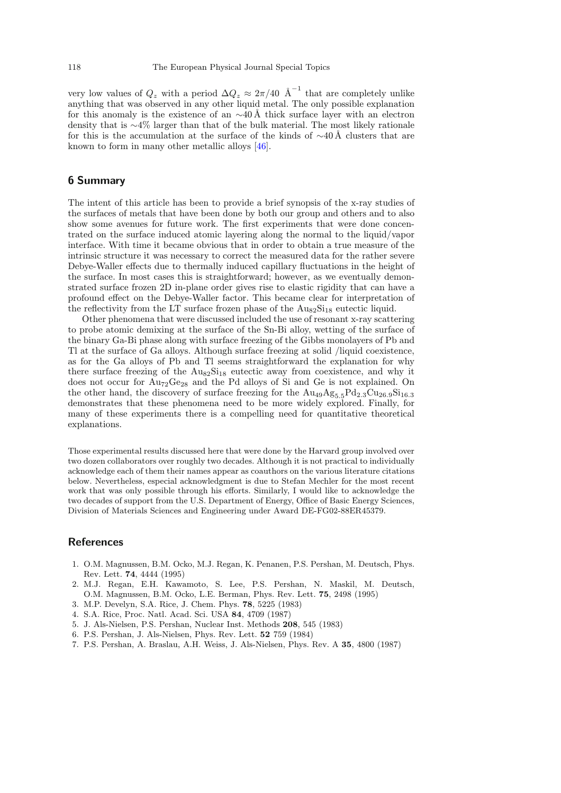very low values of  $Q_z$  with a period  $\Delta Q_z \approx 2\pi/40 \text{ Å}^{-1}$  that are completely unlike anything that was observed in any other liquid metal. The only possible explanation for this anomaly is the existence of an  $\sim$ 40 Å thick surface layer with an electron density that is ∼4% larger than that of the bulk material. The most likely rationale for this is the accumulation at the surface of the kinds of  $\sim$ 40 Å clusters that are known to form in many other metallic alloys [\[46](#page-11-4)].

# 6 Summary

The intent of this article has been to provide a brief synopsis of the x-ray studies of the surfaces of metals that have been done by both our group and others and to also show some avenues for future work. The first experiments that were done concentrated on the surface induced atomic layering along the normal to the liquid/vapor interface. With time it became obvious that in order to obtain a true measure of the intrinsic structure it was necessary to correct the measured data for the rather severe Debye-Waller effects due to thermally induced capillary fluctuations in the height of the surface. In most cases this is straightforward; however, as we eventually demonstrated surface frozen 2D in-plane order gives rise to elastic rigidity that can have a profound effect on the Debye-Waller factor. This became clear for interpretation of the reflectivity from the LT surface frozen phase of the  $\text{Au}_{82}\text{Si}_{18}$  eutectic liquid.

Other phenomena that were discussed included the use of resonant x-ray scattering to probe atomic demixing at the surface of the Sn-Bi alloy, wetting of the surface of the binary Ga-Bi phase along with surface freezing of the Gibbs monolayers of Pb and Tl at the surface of Ga alloys. Although surface freezing at solid /liquid coexistence, as for the Ga alloys of Pb and Tl seems straightforward the explanation for why there surface freezing of the  $\text{AugS1}_{18}$  eutectic away from coexistence, and why it does not occur for  $Au_{72}Ge_{28}$  and the Pd alloys of Si and Ge is not explained. On the other hand, the discovery of surface freezing for the  $Au_{49}Ag_{5.5}Pd_{2.3}Cu_{26.9}Si_{16.3}$ demonstrates that these phenomena need to be more widely explored. Finally, for many of these experiments there is a compelling need for quantitative theoretical explanations.

Those experimental results discussed here that were done by the Harvard group involved over two dozen collaborators over roughly two decades. Although it is not practical to individually acknowledge each of them their names appear as coauthors on the various literature citations below. Nevertheless, especial acknowledgment is due to Stefan Mechler for the most recent work that was only possible through his efforts. Similarly, I would like to acknowledge the two decades of support from the U.S. Department of Energy, Office of Basic Energy Sciences, Division of Materials Sciences and Engineering under Award DE-FG02-88ER45379.

#### <span id="page-9-0"></span>References

- 1. O.M. Magnussen, B.M. Ocko, M.J. Regan, K. Penanen, P.S. Pershan, M. Deutsch, Phys. Rev. Lett. 74, 4444 (1995)
- <span id="page-9-1"></span>2. M.J. Regan, E.H. Kawamoto, S. Lee, P.S. Pershan, N. Maskil, M. Deutsch, O.M. Magnussen, B.M. Ocko, L.E. Berman, Phys. Rev. Lett. 75, 2498 (1995)
- <span id="page-9-2"></span>3. M.P. Develyn, S.A. Rice, J. Chem. Phys. 78, 5225 (1983)
- <span id="page-9-3"></span>4. S.A. Rice, Proc. Natl. Acad. Sci. USA 84, 4709 (1987)
- <span id="page-9-4"></span>5. J. Als-Nielsen, P.S. Pershan, Nuclear Inst. Methods 208, 545 (1983)
- <span id="page-9-5"></span>6. P.S. Pershan, J. Als-Nielsen, Phys. Rev. Lett. 52 759 (1984)
- <span id="page-9-6"></span>7. P.S. Pershan, A. Braslau, A.H. Weiss, J. Als-Nielsen, Phys. Rev. A 35, 4800 (1987)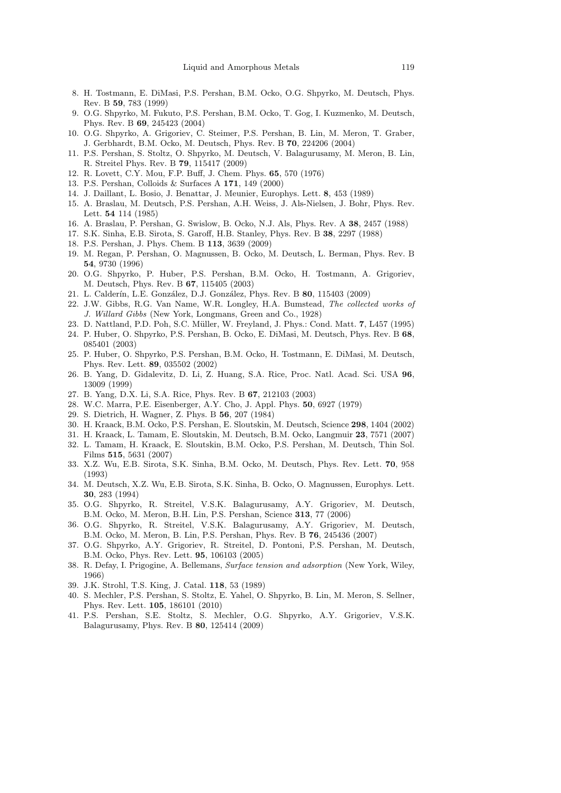- <span id="page-10-0"></span>8. H. Tostmann, E. DiMasi, P.S. Pershan, B.M. Ocko, O.G. Shpyrko, M. Deutsch, Phys. Rev. B 59, 783 (1999)
- <span id="page-10-1"></span>9. O.G. Shpyrko, M. Fukuto, P.S. Pershan, B.M. Ocko, T. Gog, I. Kuzmenko, M. Deutsch, Phys. Rev. B 69, 245423 (2004)
- <span id="page-10-2"></span>10. O.G. Shpyrko, A. Grigoriev, C. Steimer, P.S. Pershan, B. Lin, M. Meron, T. Graber, J. Gerbhardt, B.M. Ocko, M. Deutsch, Phys. Rev. B 70, 224206 (2004)
- <span id="page-10-3"></span>11. P.S. Pershan, S. Stoltz, O. Shpyrko, M. Deutsch, V. Balagurusamy, M. Meron, B. Lin, R. Streitel Phys. Rev. B 79, 115417 (2009)
- <span id="page-10-4"></span>12. R. Lovett, C.Y. Mou, F.P. Buff, J. Chem. Phys. 65, 570 (1976)
- <span id="page-10-5"></span>13. P.S. Pershan, Colloids & Surfaces A 171, 149 (2000)
- <span id="page-10-6"></span>14. J. Daillant, L. Bosio, J. Benattar, J. Meunier, Europhys. Lett. 8, 453 (1989)
- 15. A. Braslau, M. Deutsch, P.S. Pershan, A.H. Weiss, J. Als-Nielsen, J. Bohr, Phys. Rev. Lett. 54 114 (1985)
- <span id="page-10-7"></span>16. A. Braslau, P. Pershan, G. Swislow, B. Ocko, N.J. Als, Phys. Rev. A 38, 2457 (1988)
- <span id="page-10-8"></span>17. S.K. Sinha, E.B. Sirota, S. Garoff, H.B. Stanley, Phys. Rev. B 38, 2297 (1988)
- <span id="page-10-9"></span>18. P.S. Pershan, J. Phys. Chem. B 113, 3639 (2009)
- <span id="page-10-10"></span>19. M. Regan, P. Pershan, O. Magnussen, B. Ocko, M. Deutsch, L. Berman, Phys. Rev. B 54, 9730 (1996)
- <span id="page-10-11"></span>20. O.G. Shpyrko, P. Huber, P.S. Pershan, B.M. Ocko, H. Tostmann, A. Grigoriev, M. Deutsch, Phys. Rev. B 67, 115405 (2003)
- <span id="page-10-12"></span>21. L. Calderín, L.E. González, D.J. González, Phys. Rev. B 80, 115403 (2009)
- <span id="page-10-13"></span>22. J.W. Gibbs, R.G. Van Name, W.R. Longley, H.A. Bumstead, The collected works of J. Willard Gibbs (New York, Longmans, Green and Co., 1928)
- <span id="page-10-14"></span>23. D. Nattland, P.D. Poh, S.C. M¨uller, W. Freyland, J. Phys.: Cond. Matt. 7, L457 (1995)
- 24. P. Huber, O. Shpyrko, P.S. Pershan, B. Ocko, E. DiMasi, M. Deutsch, Phys. Rev. B 68, 085401 (2003)
- <span id="page-10-15"></span>25. P. Huber, O. Shpyrko, P.S. Pershan, B.M. Ocko, H. Tostmann, E. DiMasi, M. Deutsch, Phys. Rev. Lett. 89, 035502 (2002)
- <span id="page-10-16"></span>26. B. Yang, D. Gidalevitz, D. Li, Z. Huang, S.A. Rice, Proc. Natl. Acad. Sci. USA 96, 13009 (1999)
- <span id="page-10-17"></span>27. B. Yang, D.X. Li, S.A. Rice, Phys. Rev. B 67, 212103 (2003)
- <span id="page-10-18"></span>28. W.C. Marra, P.E. Eisenberger, A.Y. Cho, J. Appl. Phys. 50, 6927 (1979)
- <span id="page-10-19"></span>29. S. Dietrich, H. Wagner, Z. Phys. B 56, 207 (1984)
- <span id="page-10-20"></span>30. H. Kraack, B.M. Ocko, P.S. Pershan, E. Sloutskin, M. Deutsch, Science 298, 1404 (2002)
- <span id="page-10-21"></span>31. H. Kraack, L. Tamam, E. Sloutskin, M. Deutsch, B.M. Ocko, Langmuir 23, 7571 (2007) 32. L. Tamam, H. Kraack, E. Sloutskin, B.M. Ocko, P.S. Pershan, M. Deutsch, Thin Sol.
- <span id="page-10-22"></span>Films 515, 5631 (2007) 33. X.Z. Wu, E.B. Sirota, S.K. Sinha, B.M. Ocko, M. Deutsch, Phys. Rev. Lett. 70, 958 (1993)
- <span id="page-10-23"></span>34. M. Deutsch, X.Z. Wu, E.B. Sirota, S.K. Sinha, B. Ocko, O. Magnussen, Europhys. Lett. 30, 283 (1994)
- <span id="page-10-24"></span>35. O.G. Shpyrko, R. Streitel, V.S.K. Balagurusamy, A.Y. Grigoriev, M. Deutsch, B.M. Ocko, M. Meron, B.H. Lin, P.S. Pershan, Science <sup>313</sup>, 77 (2006)
- <span id="page-10-25"></span>36. O.G. Shpyrko, R. Streitel, V.S.K. Balagurusamy, A.Y. Grigoriev, M. Deutsch, B.M. Ocko, M. Meron, B. Lin, P.S. Pershan, Phys. Rev. B 76, 245436 (2007)
- <span id="page-10-26"></span>37. O.G. Shpyrko, A.Y. Grigoriev, R. Streitel, D. Pontoni, P.S. Pershan, M. Deutsch, B.M. Ocko, Phys. Rev. Lett. 95, 106103 (2005)
- <span id="page-10-27"></span>38. R. Defay, I. Prigogine, A. Bellemans, Surface tension and adsorption (New York, Wiley, 1966)
- <span id="page-10-28"></span>39. J.K. Strohl, T.S. King, J. Catal. 118, 53 (1989)
- <span id="page-10-29"></span>40. S. Mechler, P.S. Pershan, S. Stoltz, E. Yahel, O. Shpyrko, B. Lin, M. Meron, S. Sellner, Phys. Rev. Lett. 105, 186101 (2010)
- <span id="page-10-30"></span>41. P.S. Pershan, S.E. Stoltz, S. Mechler, O.G. Shpyrko, A.Y. Grigoriev, V.S.K. Balagurusamy, Phys. Rev. B 80, 125414 (2009)